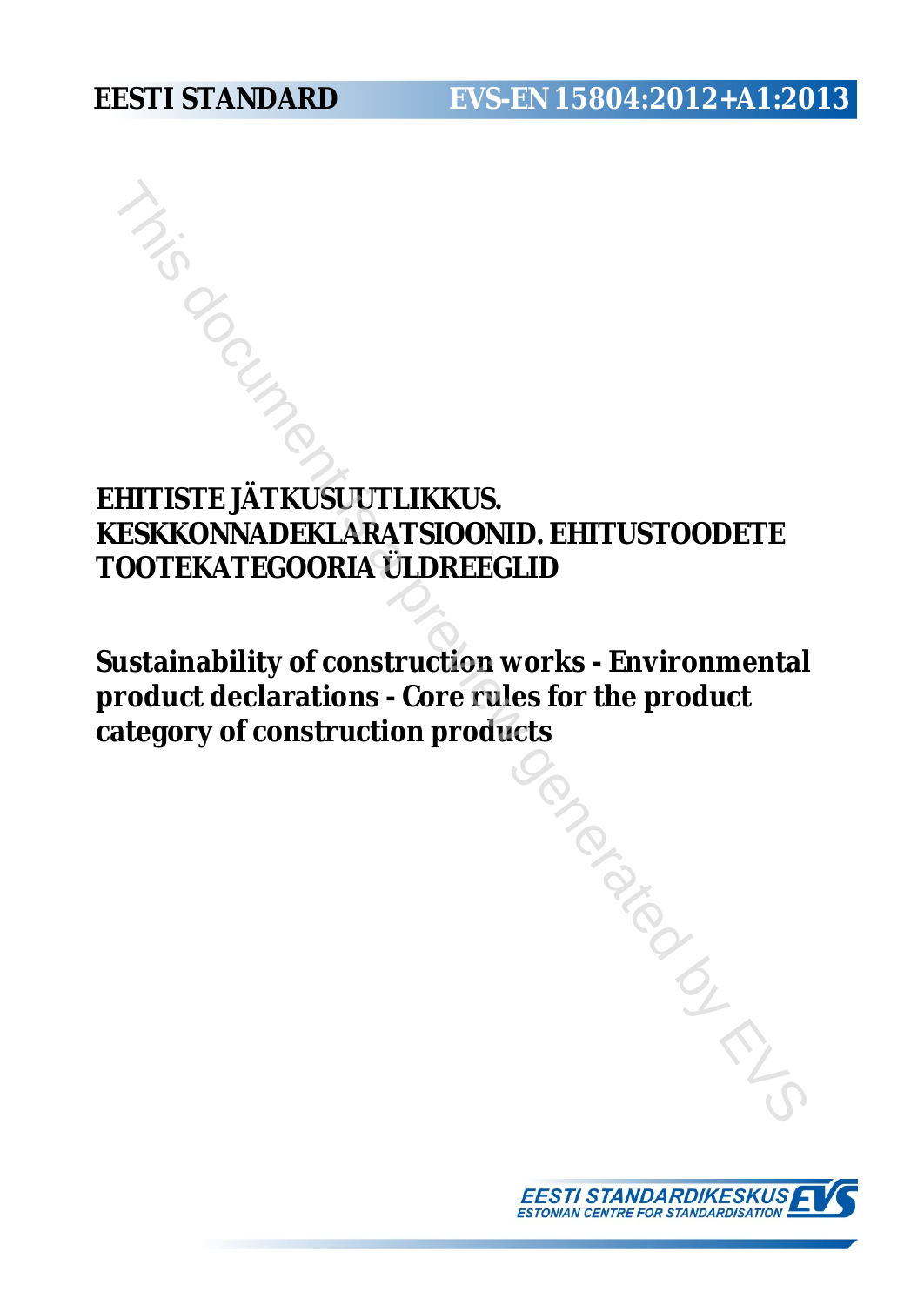# **EESTI STANDARD EVS-EN 15804:2012+A1:2013**

# **EHITISTE JÄTKUSUUTLIKKUS. KESKKONNADEKLARATSIOONID. EHITUSTOODETE TOOTEKATEGOORIA ÜLDREEGLID**

**Sustainability of construction works - Environmental product declarations - Core rules for the product category of construction products** FRIE ATKUSUUTLIKKUS.<br>
SKKONNADEKLARATSIOONID. EHITUSTOODETE<br>
DOTEKATEGOORIA ÜLDREEGLID<br>
Istainability of construction works - Environmenta<br>
"oduct declarations - Core rules for the product<br>
ategory of construction products

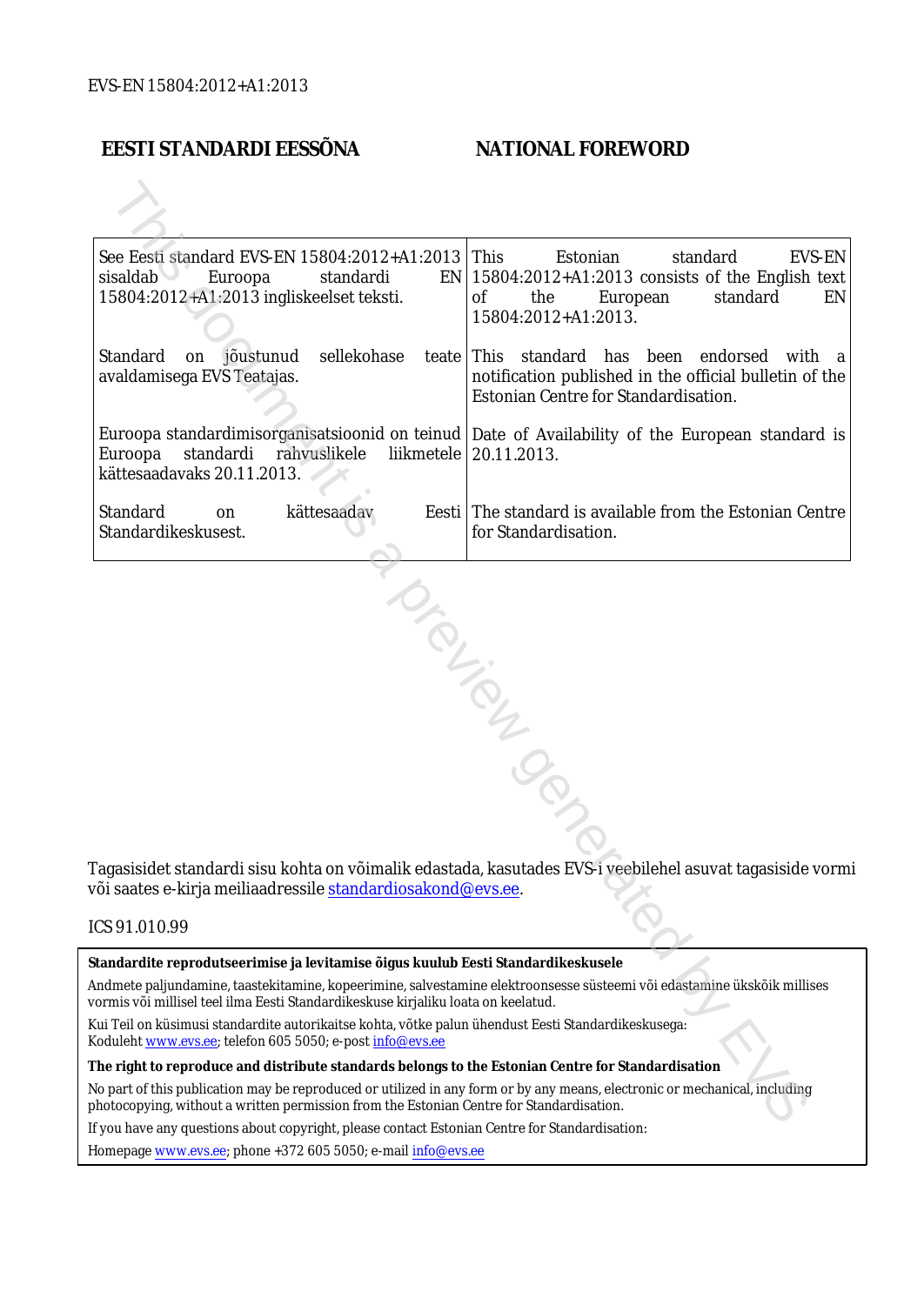### **EESTI STANDARDI EESSÕNA NATIONAL FOREWORD**

| See Eesti standard EVS-EN 15804:2012+A1:2013<br>sisaldab of<br>Euroopa<br>standardi<br>15804:2012+A1:2013 ingliskeelset teksti.                                                                                        | This<br>Estonian<br>standard<br>EVS-EN<br>$EN$   15804:2012+A1:2013 consists of the English text<br>0f<br>the<br>European<br>standard<br>EN<br>15804:2012+A1:2013. |
|------------------------------------------------------------------------------------------------------------------------------------------------------------------------------------------------------------------------|--------------------------------------------------------------------------------------------------------------------------------------------------------------------|
| Standard<br>sellekohase<br>jõustunud<br>on<br>avaldamisega EVS Teatajas.                                                                                                                                               | teate This standard has been endorsed<br>with a<br>notification published in the official bulletin of the<br>Estonian Centre for Standardisation.                  |
| rahvuslikele<br>Euroopa<br>standardi<br>kättesaadavaks 20.11.2013.                                                                                                                                                     | Euroopa standardimisorganisatsioonid on teinud   Date of Availability of the European standard is<br>liikmetele   20.11.2013.                                      |
| Standard<br>kättesaadav<br>on<br>Standardikeskusest.                                                                                                                                                                   | Eesti The standard is available from the Estonian Centre<br>for Standardisation.                                                                                   |
| või saates e-kirja meiliaadressile <u>standardiosakond@evs.ee</u> .                                                                                                                                                    | Tagasisidet standardi sisu kohta on võimalik edastada, kasutades EVS-i veebilehel asuvat tagasiside vormi                                                          |
| ICS 91.010.99                                                                                                                                                                                                          |                                                                                                                                                                    |
| Standardite reprodutseerimise ja levitamise õigus kuulub Eesti Standardikeskusele                                                                                                                                      |                                                                                                                                                                    |
| Andmete paljundamine, taastekitamine, kopeerimine, salvestamine elektroonsesse süsteemi või edastamine ükskõik millises<br>vormis või millisel teel ilma Eesti Standardikeskuse kirjaliku loata on keelatud.           |                                                                                                                                                                    |
| Kui Teil on küsimusi standardite autorikaitse kohta, võtke palun ühendust Eesti Standardikeskusega:<br>Koduleht www.evs.ee; telefon 605 5050; e-post info@evs.ee                                                       |                                                                                                                                                                    |
| The right to reproduce and distribute standards belongs to the Estonian Centre for Standardisation                                                                                                                     |                                                                                                                                                                    |
| No part of this publication may be reproduced or utilized in any form or by any means, electronic or mechanical, including<br>photocopying, without a written permission from the Estonian Centre for Standardisation. |                                                                                                                                                                    |
|                                                                                                                                                                                                                        |                                                                                                                                                                    |

#### ICS 91.010.99

If you have any questions about copyright, please contact Estonian Centre for Standardisation:

Homepage [www.evs.ee](http://www.evs.ee/); phone +372 605 5050; e-mail info@evs.ee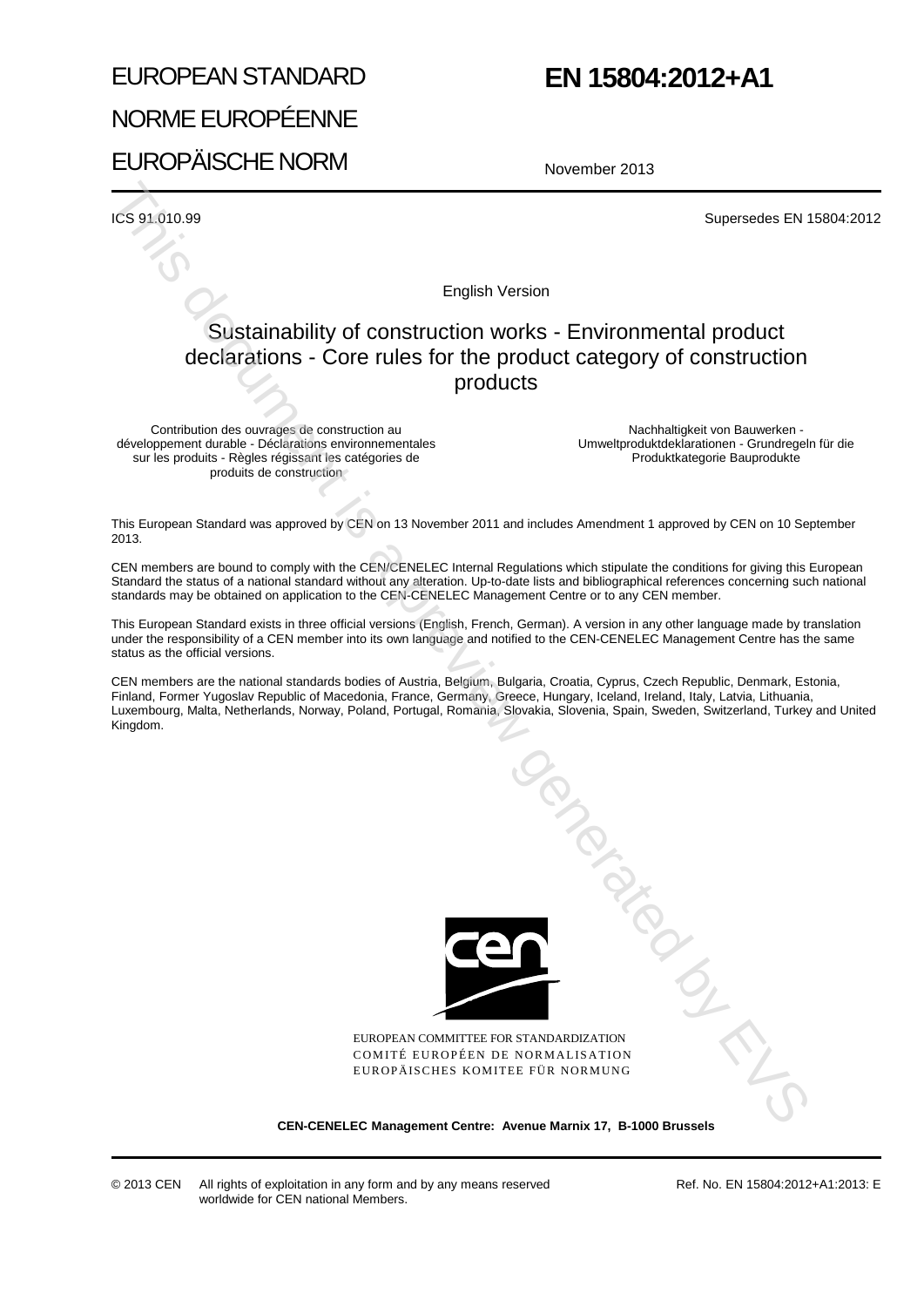# EUROPEAN STANDARD NORME EUROPÉENNE EUROPÄISCHE NORM

# **EN 15804:2012+A1**

November 2013

ICS 91.010.99 Supersedes EN 15804:2012

English Version

### Sustainability of construction works - Environmental product declarations - Core rules for the product category of construction products

Contribution des ouvrages de construction au développement durable - Déclarations environnementales sur les produits - Règles régissant les catégories de produits de construction

Nachhaltigkeit von Bauwerken - Umweltproduktdeklarationen - Grundregeln für die Produktkategorie Bauprodukte

This European Standard was approved by CEN on 13 November 2011 and includes Amendment 1 approved by CEN on 10 September 2013.

CEN members are bound to comply with the CEN/CENELEC Internal Regulations which stipulate the conditions for giving this European Standard the status of a national standard without any alteration. Up-to-date lists and bibliographical references concerning such national standards may be obtained on application to the CEN-CENELEC Management Centre or to any CEN member.

This European Standard exists in three official versions (English, French, German). A version in any other language made by translation under the responsibility of a CEN member into its own language and notified to the CEN-CENELEC Management Centre has the same status as the official versions.

CEN members are the national standards bodies of Austria, Belgium, Bulgaria, Croatia, Cyprus, Czech Republic, Denmark, Estonia, Finland, Former Yugoslav Republic of Macedonia, France, Germany, Greece, Hungary, Iceland, Ireland, Italy, Latvia, Lithuania, Luxembourg, Malta, Netherlands, Norway, Poland, Portugal, Romania, Slovakia, Slovenia, Spain, Sweden, Switzerland, Turkey and United Kingdom.



EUROPEAN COMMITTEE FOR STANDARDIZATION COMITÉ EUROPÉEN DE NORMALISATION EUROPÄISCHES KOMITEE FÜR NORMUNG **Mission Crewin** 

#### **CEN-CENELEC Management Centre: Avenue Marnix 17, B-1000 Brussels**

© 2013 CEN All rights of exploitation in any form and by any means reserved worldwide for CEN national Members.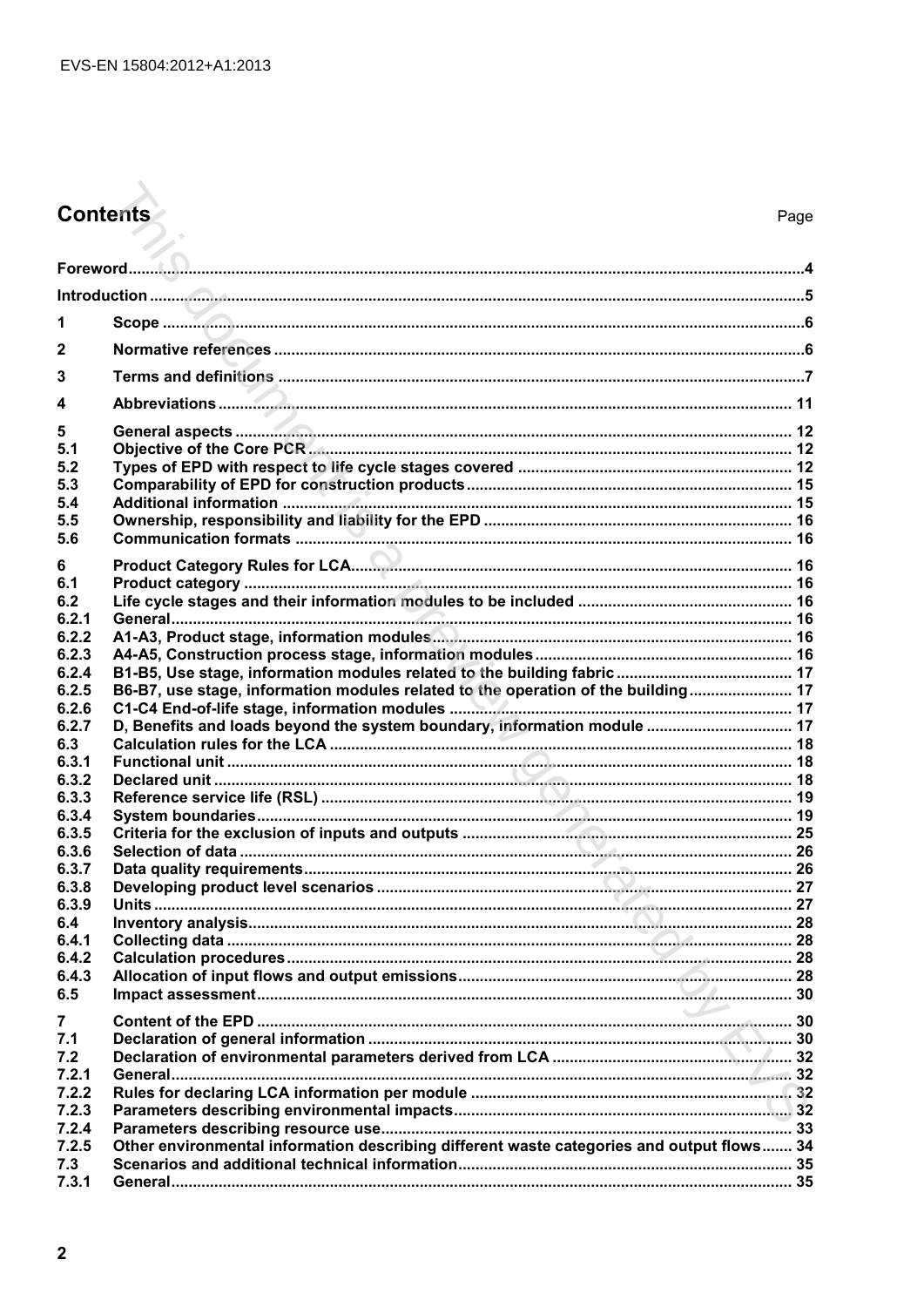# Contents

| 1                |                                                                                           |  |
|------------------|-------------------------------------------------------------------------------------------|--|
| $\mathbf{2}$     |                                                                                           |  |
| 3                |                                                                                           |  |
| $\boldsymbol{4}$ |                                                                                           |  |
|                  |                                                                                           |  |
| 5<br>5.1         |                                                                                           |  |
| 5.2              |                                                                                           |  |
| 5.3              |                                                                                           |  |
| 5.4              |                                                                                           |  |
| 5.5<br>5.6       |                                                                                           |  |
|                  |                                                                                           |  |
| 6<br>6.1         |                                                                                           |  |
| 6.2              |                                                                                           |  |
| 6.2.1            |                                                                                           |  |
| 6.2.2            |                                                                                           |  |
| 6.2.3            |                                                                                           |  |
| 6.2.4<br>6.2.5   | B6-B7, use stage, information modules related to the operation of the building 17         |  |
| 6.2.6            |                                                                                           |  |
| 6.2.7            | D, Benefits and loads beyond the system boundary, information module  17                  |  |
| 6.3              |                                                                                           |  |
| 6.3.1<br>6.3.2   |                                                                                           |  |
| 6.3.3            |                                                                                           |  |
| 6.3.4            |                                                                                           |  |
| 6.3.5            |                                                                                           |  |
| 6.3.6            |                                                                                           |  |
| 6.3.7<br>6.3.8   |                                                                                           |  |
| 6.3.9            |                                                                                           |  |
| 6.4              |                                                                                           |  |
| 6.4.1            |                                                                                           |  |
| 6.4.2            |                                                                                           |  |
| 6.4.3<br>6.5     |                                                                                           |  |
|                  | <b>Contract Contract Contract</b>                                                         |  |
| 7<br>7.1         |                                                                                           |  |
| 7.2              |                                                                                           |  |
| 7.2.1            |                                                                                           |  |
| 7.2.2            |                                                                                           |  |
| 7.2.3            |                                                                                           |  |
| 7.2.4<br>7.2.5   | Other environmental information describing different waste categories and output flows 34 |  |
| 7.3              |                                                                                           |  |
| 7.3.1            |                                                                                           |  |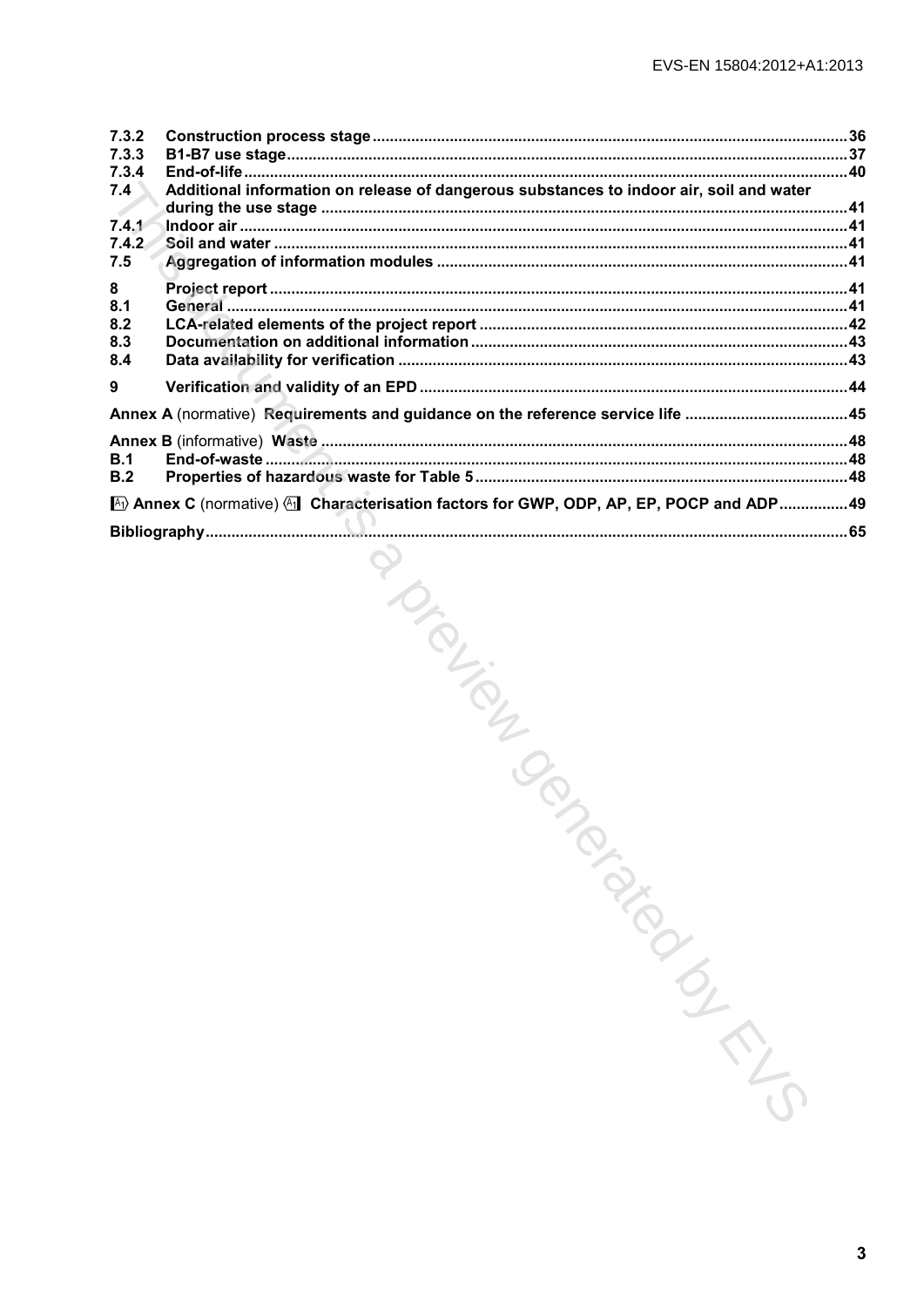| 7.3.2<br>7.3.3 |                                                                                         |  |
|----------------|-----------------------------------------------------------------------------------------|--|
| 7.3.4<br>7.4   | Additional information on release of dangerous substances to indoor air, soil and water |  |
| 7.4.1          |                                                                                         |  |
| 7.4.2          |                                                                                         |  |
| 7.5            |                                                                                         |  |
| 8              |                                                                                         |  |
| 8.1<br>8.2     |                                                                                         |  |
| 8.3            |                                                                                         |  |
| 8.4            |                                                                                         |  |
| 9              |                                                                                         |  |
|                | Annex A (normative) Requirements and guidance on the reference service life 45          |  |
| B.1            |                                                                                         |  |
| B.2            |                                                                                         |  |
|                | Annex C (normative) (All Characterisation factors for GWP, ODP, AP, EP, POCP and ADP 49 |  |
|                |                                                                                         |  |
|                |                                                                                         |  |
|                |                                                                                         |  |
|                |                                                                                         |  |
|                |                                                                                         |  |
|                |                                                                                         |  |
|                |                                                                                         |  |
|                |                                                                                         |  |
|                |                                                                                         |  |
|                | PIONER TON                                                                              |  |
|                |                                                                                         |  |
|                |                                                                                         |  |
|                |                                                                                         |  |
|                |                                                                                         |  |
|                |                                                                                         |  |
|                |                                                                                         |  |
|                |                                                                                         |  |
|                |                                                                                         |  |
|                |                                                                                         |  |
|                |                                                                                         |  |
|                |                                                                                         |  |
|                |                                                                                         |  |
|                | PRIDERICATION                                                                           |  |
|                |                                                                                         |  |
|                |                                                                                         |  |
|                |                                                                                         |  |
|                |                                                                                         |  |
|                |                                                                                         |  |
|                |                                                                                         |  |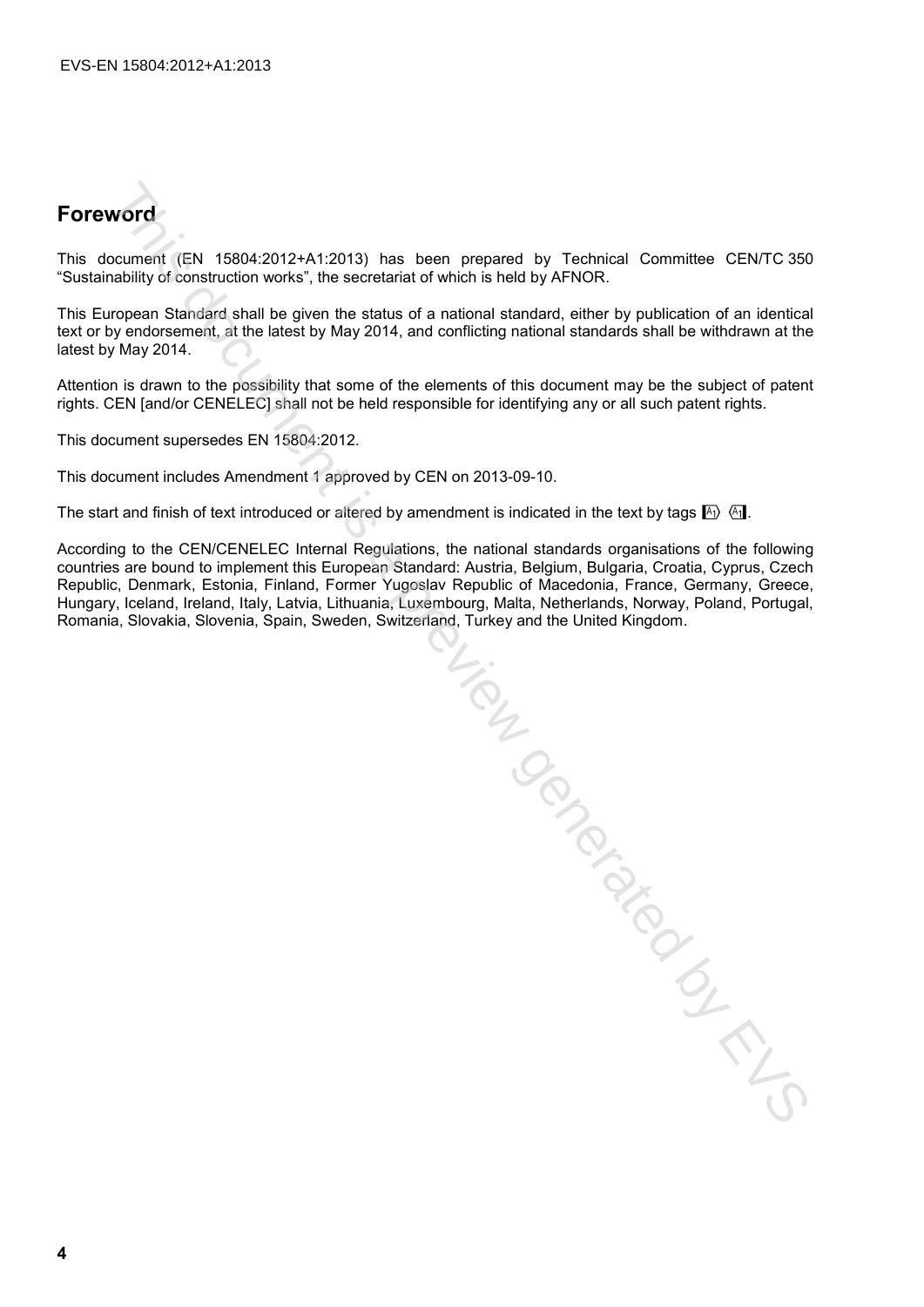### **Foreword**

This document (EN 15804:2012+A1:2013) has been prepared by Technical Committee CEN/TC 350 "Sustainability of construction works", the secretariat of which is held by AFNOR.

This European Standard shall be given the status of a national standard, either by publication of an identical text or by endorsement, at the latest by May 2014, and conflicting national standards shall be withdrawn at the latest by May 2014.

Attention is drawn to the possibility that some of the elements of this document may be the subject of patent rights. CEN [and/or CENELEC] shall not be held responsible for identifying any or all such patent rights.

This document supersedes EN 15804:2012.

This document includes Amendment 1 approved by CEN on 2013-09-10.

The start and finish of text introduced or altered by amendment is indicated in the text by tags  $\mathbb{F}_1$ .

According to the CEN/CENELEC Internal Regulations, the national standards organisations of the following countries are bound to implement this European Standard: Austria, Belgium, Bulgaria, Croatia, Cyprus, Czech Republic, Denmark, Estonia, Finland, Former Yugoslav Republic of Macedonia, France, Germany, Greece, Hungary, Iceland, Ireland, Italy, Latvia, Lithuania, Luxembourg, Malta, Netherlands, Norway, Poland, Portugal, Romania, Slovakia, Slovenia, Spain, Sweden, Switzerland, Turkey and the United Kingdom.

THIS DRIVEY IS A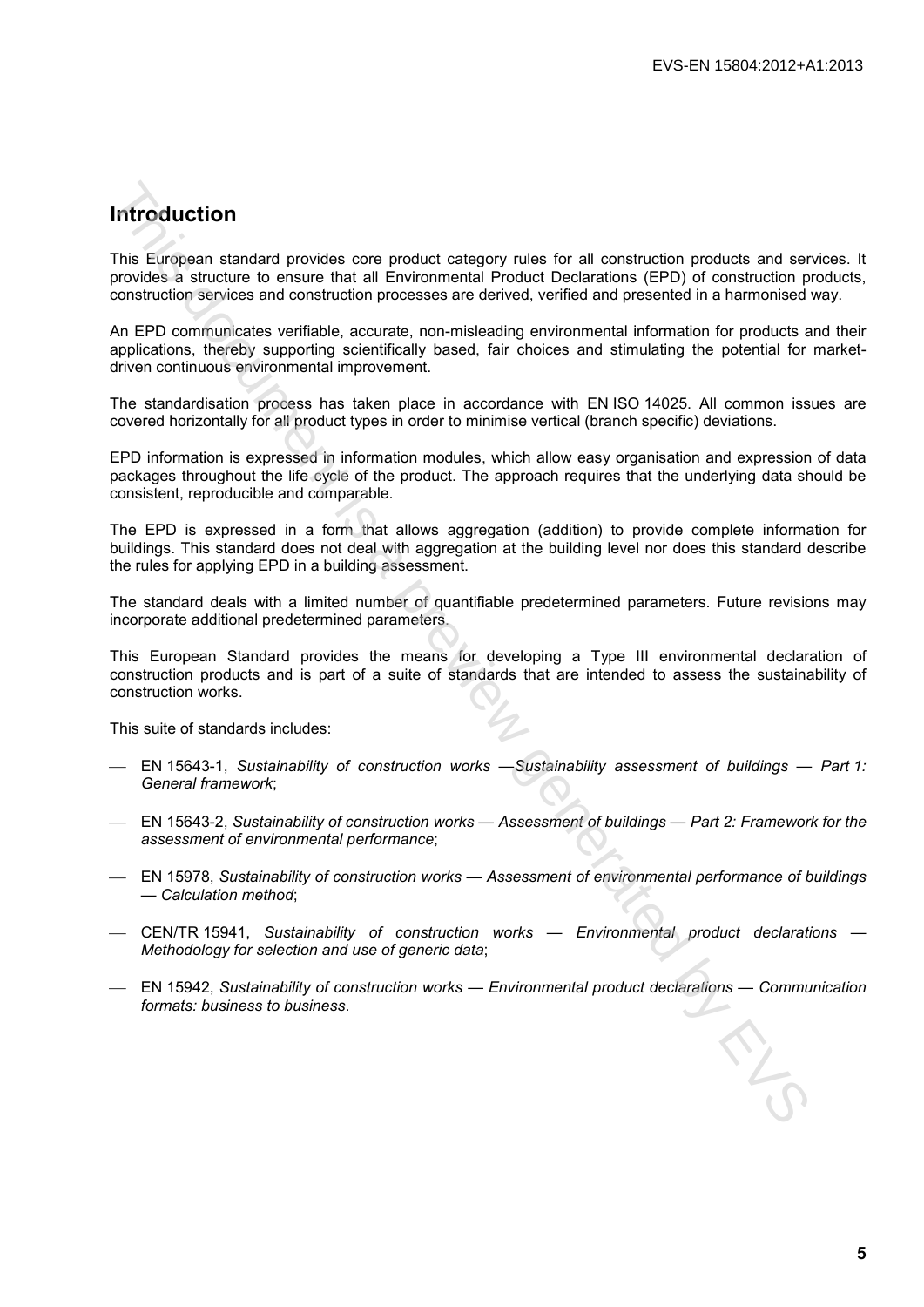## **Introduction**

This European standard provides core product category rules for all construction products and services. It provides a structure to ensure that all Environmental Product Declarations (EPD) of construction products, construction services and construction processes are derived, verified and presented in a harmonised way. **Introduction**<br>This Ewispean standard provides core product category rules for all construction products and server<br>provides a structure to ensure that all Environmental information (EPD) of construction<br>construction surv

An EPD communicates verifiable, accurate, non-misleading environmental information for products and their applications, thereby supporting scientifically based, fair choices and stimulating the potential for marketdriven continuous environmental improvement.

The standardisation process has taken place in accordance with EN ISO 14025. All common issues are covered horizontally for all product types in order to minimise vertical (branch specific) deviations.

EPD information is expressed in information modules, which allow easy organisation and expression of data packages throughout the life cycle of the product. The approach requires that the underlying data should be consistent, reproducible and comparable.

The EPD is expressed in a form that allows aggregation (addition) to provide complete information for buildings. This standard does not deal with aggregation at the building level nor does this standard describe the rules for applying EPD in a building assessment.

The standard deals with a limited number of quantifiable predetermined parameters. Future revisions may incorporate additional predetermined parameters.

This European Standard provides the means for developing a Type III environmental declaration of construction products and is part of a suite of standards that are intended to assess the sustainability of construction works.

This suite of standards includes:

- EN 15643-1, *Sustainability of construction works —Sustainability assessment of buildings Part 1: General framework*;
- EN 15643-2, *Sustainability of construction works Assessment of buildings Part 2: Framework for the assessment of environmental performance*;
- EN 15978, *Sustainability of construction works Assessment of environmental performance of buildings — Calculation method*;
- CEN/TR 15941, *Sustainability of construction works Environmental product declarations Methodology for selection and use of generic data*;
- EN 15942, *Sustainability of construction works Environmental product declarations Communication formats: business to business*.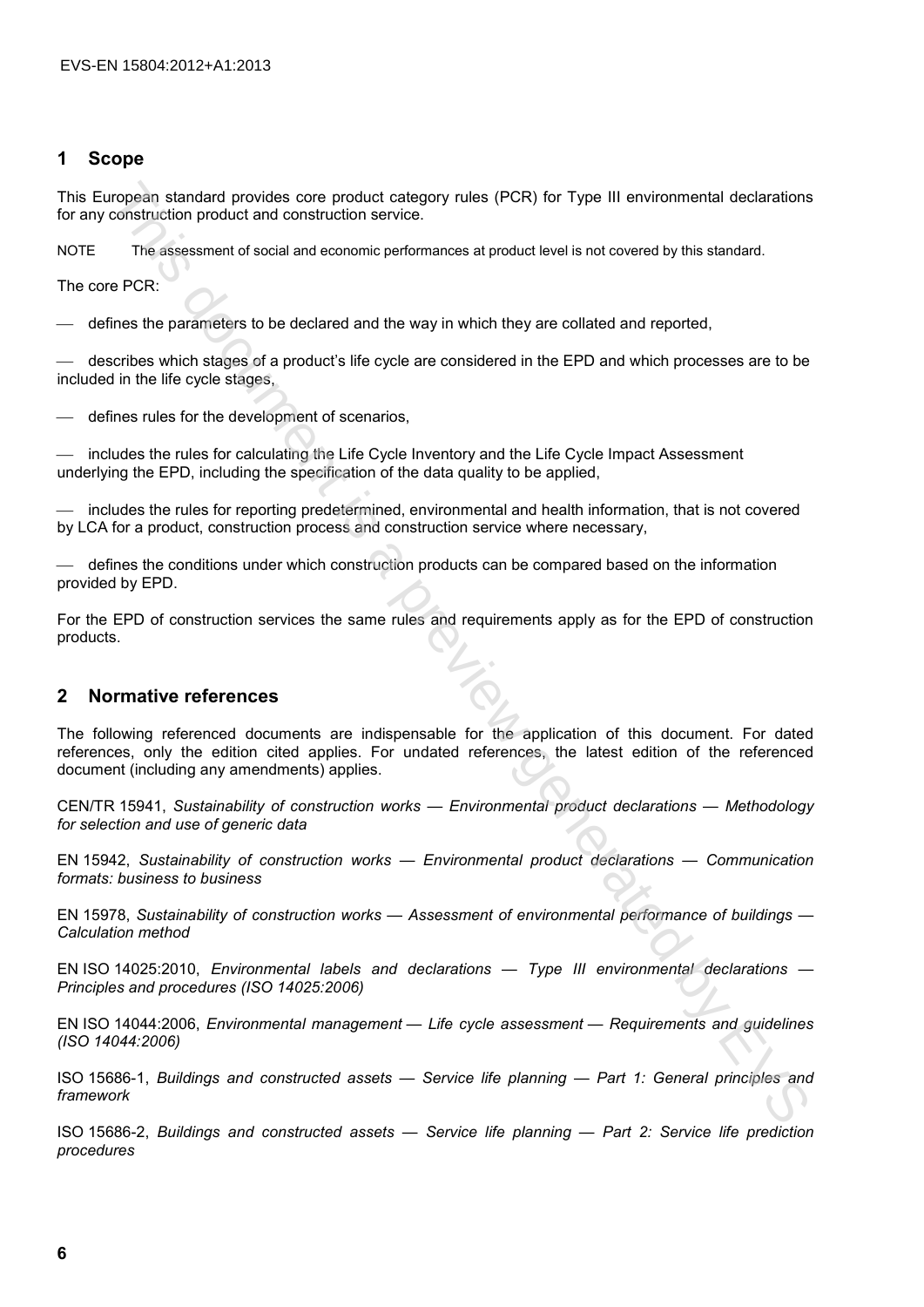### **1 Scope**

This European standard provides core product category rules (PCR) for Type III environmental declarations for any construction product and construction service.

NOTE The assessment of social and economic performances at product level is not covered by this standard.

The core PCR:

defines the parameters to be declared and the way in which they are collated and reported,

 describes which stages of a product's life cycle are considered in the EPD and which processes are to be included in the life cycle stages,

defines rules for the development of scenarios,

 includes the rules for calculating the Life Cycle Inventory and the Life Cycle Impact Assessment underlying the EPD, including the specification of the data quality to be applied,

 includes the rules for reporting predetermined, environmental and health information, that is not covered by LCA for a product, construction process and construction service where necessary,

 defines the conditions under which construction products can be compared based on the information provided by EPD.

For the EPD of construction services the same rules and requirements apply as for the EPD of construction products.

### **2 Normative references**

The following referenced documents are indispensable for the application of this document. For dated references, only the edition cited applies. For undated references, the latest edition of the referenced document (including any amendments) applies. mogean standard provides core product category rules (PCR) for Type III environmental declarations<br>construction product and construction service:<br>The assessment of social and communic performances all product level is not

CEN/TR 15941, *Sustainability of construction works — Environmental product declarations — Methodology for selection and use of generic data*

EN 15942, *Sustainability of construction works — Environmental product declarations — Communication formats: business to business*

EN 15978, *Sustainability of construction works — Assessment of environmental performance of buildings — Calculation method*

EN ISO 14025:2010, *Environmental labels and declarations — Type III environmental declarations — Principles and procedures (ISO 14025:2006)*

EN ISO 14044:2006, *Environmental management — Life cycle assessment — Requirements and guidelines (ISO 14044:2006)*

ISO 15686-1, *Buildings and constructed assets — Service life planning — Part 1: General principles and framework*

ISO 15686-2, *Buildings and constructed assets — Service life planning — Part 2: Service life prediction procedures*